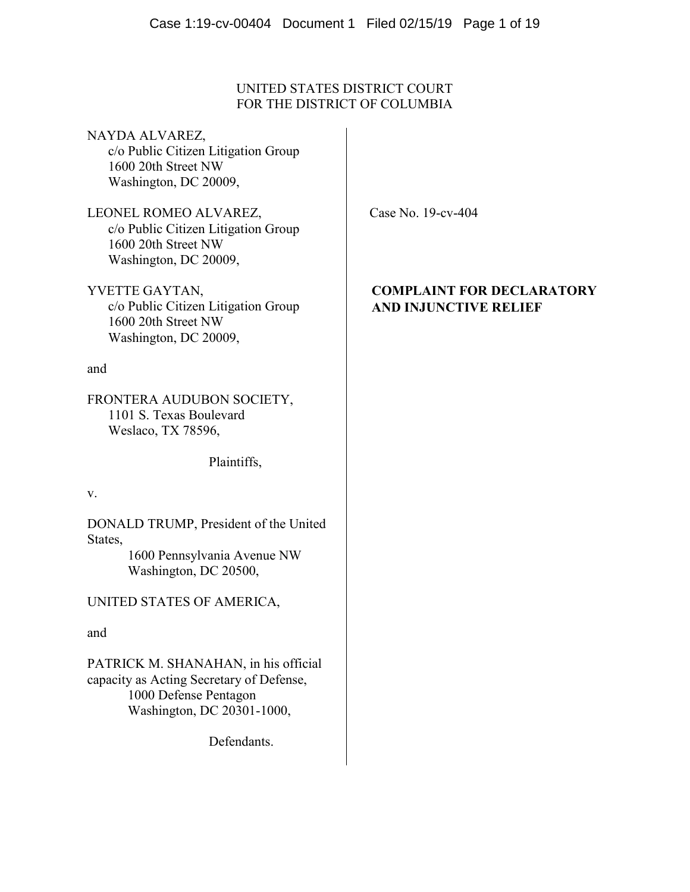# UNITED STATES DISTRICT COURT FOR THE DISTRICT OF COLUMBIA

NAYDA ALVAREZ, c/o Public Citizen Litigation Group 1600 20th Street NW Washington, DC 20009,

LEONEL ROMEO ALVAREZ, c/o Public Citizen Litigation Group 1600 20th Street NW Washington, DC 20009,

YVETTE GAYTAN, c/o Public Citizen Litigation Group 1600 20th Street NW Washington, DC 20009,

and

FRONTERA AUDUBON SOCIETY, 1101 S. Texas Boulevard Weslaco, TX 78596,

Plaintiffs,

v.

DONALD TRUMP, President of the United States, 1600 Pennsylvania Avenue NW

Washington, DC 20500,

UNITED STATES OF AMERICA,

and

PATRICK M. SHANAHAN, in his official capacity as Acting Secretary of Defense, 1000 Defense Pentagon Washington, DC 20301-1000,

Defendants.

Case No. 19-cv-404

# **COMPLAINT FOR DECLARATORY AND INJUNCTIVE RELIEF**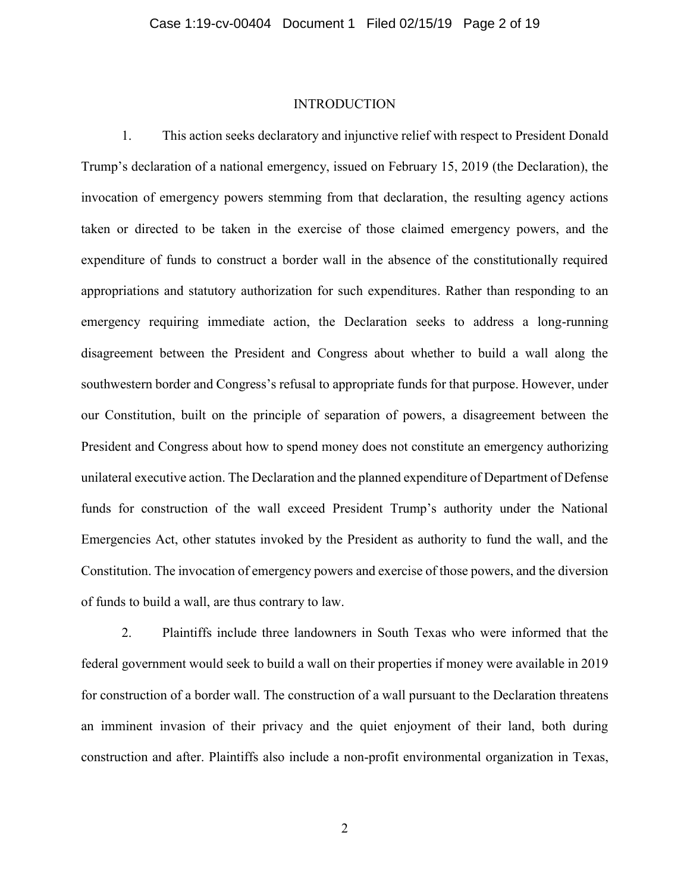#### INTRODUCTION

1. This action seeks declaratory and injunctive relief with respect to President Donald Trump's declaration of a national emergency, issued on February 15, 2019 (the Declaration), the invocation of emergency powers stemming from that declaration, the resulting agency actions taken or directed to be taken in the exercise of those claimed emergency powers, and the expenditure of funds to construct a border wall in the absence of the constitutionally required appropriations and statutory authorization for such expenditures. Rather than responding to an emergency requiring immediate action, the Declaration seeks to address a long-running disagreement between the President and Congress about whether to build a wall along the southwestern border and Congress's refusal to appropriate funds for that purpose. However, under our Constitution, built on the principle of separation of powers, a disagreement between the President and Congress about how to spend money does not constitute an emergency authorizing unilateral executive action. The Declaration and the planned expenditure of Department of Defense funds for construction of the wall exceed President Trump's authority under the National Emergencies Act, other statutes invoked by the President as authority to fund the wall, and the Constitution. The invocation of emergency powers and exercise of those powers, and the diversion of funds to build a wall, are thus contrary to law.

2. Plaintiffs include three landowners in South Texas who were informed that the federal government would seek to build a wall on their properties if money were available in 2019 for construction of a border wall. The construction of a wall pursuant to the Declaration threatens an imminent invasion of their privacy and the quiet enjoyment of their land, both during construction and after. Plaintiffs also include a non-profit environmental organization in Texas,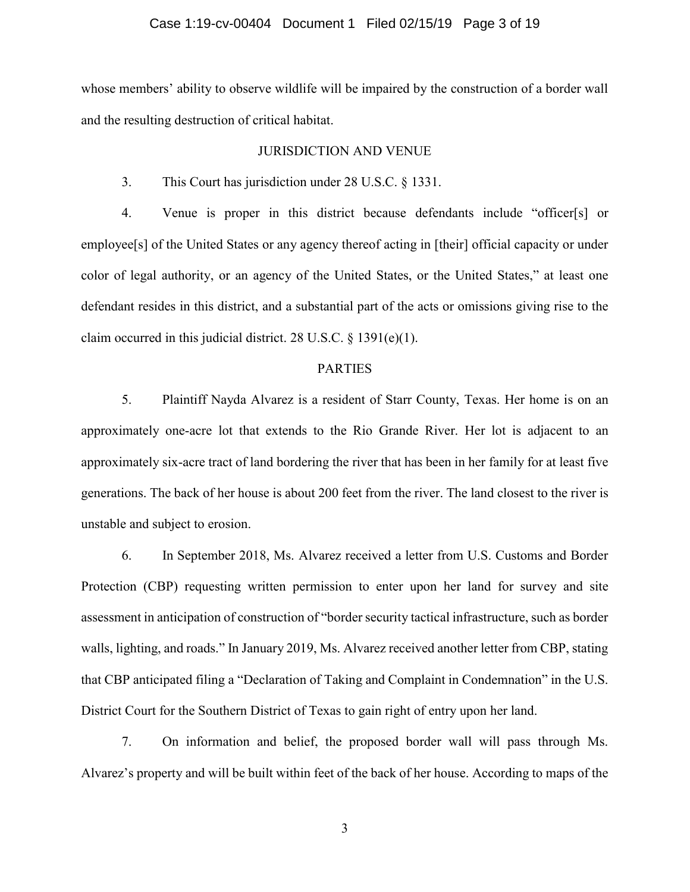#### Case 1:19-cv-00404 Document 1 Filed 02/15/19 Page 3 of 19

whose members' ability to observe wildlife will be impaired by the construction of a border wall and the resulting destruction of critical habitat.

#### JURISDICTION AND VENUE

3. This Court has jurisdiction under 28 U.S.C. § 1331.

4. Venue is proper in this district because defendants include "officer[s] or employee[s] of the United States or any agency thereof acting in [their] official capacity or under color of legal authority, or an agency of the United States, or the United States," at least one defendant resides in this district, and a substantial part of the acts or omissions giving rise to the claim occurred in this judicial district. 28 U.S.C. § 1391(e)(1).

#### PARTIES

5. Plaintiff Nayda Alvarez is a resident of Starr County, Texas. Her home is on an approximately one-acre lot that extends to the Rio Grande River. Her lot is adjacent to an approximately six-acre tract of land bordering the river that has been in her family for at least five generations. The back of her house is about 200 feet from the river. The land closest to the river is unstable and subject to erosion.

6. In September 2018, Ms. Alvarez received a letter from U.S. Customs and Border Protection (CBP) requesting written permission to enter upon her land for survey and site assessment in anticipation of construction of "border security tactical infrastructure, such as border walls, lighting, and roads." In January 2019, Ms. Alvarez received another letter from CBP, stating that CBP anticipated filing a "Declaration of Taking and Complaint in Condemnation" in the U.S. District Court for the Southern District of Texas to gain right of entry upon her land.

7. On information and belief, the proposed border wall will pass through Ms. Alvarez's property and will be built within feet of the back of her house. According to maps of the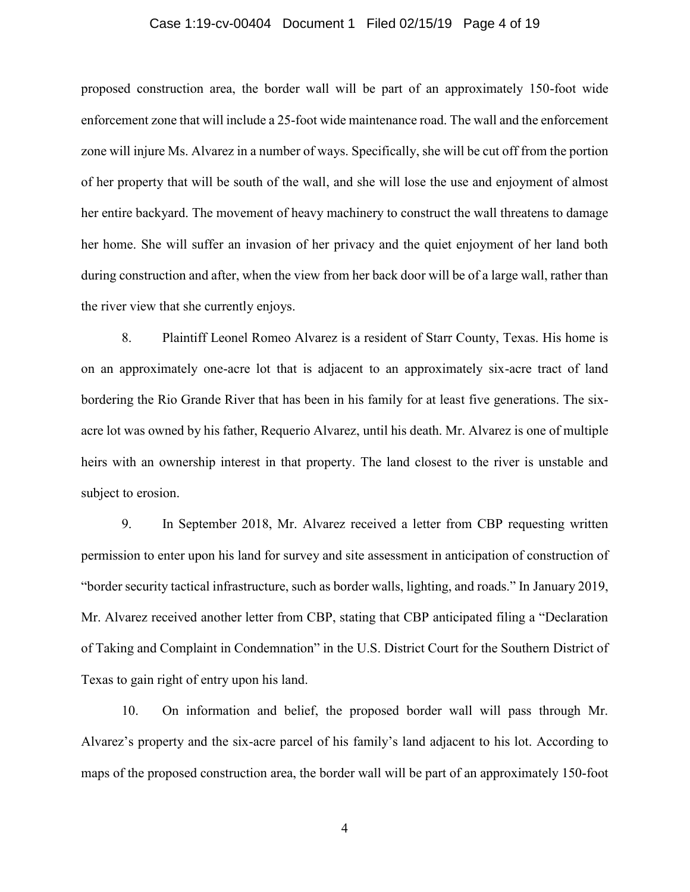#### Case 1:19-cv-00404 Document 1 Filed 02/15/19 Page 4 of 19

proposed construction area, the border wall will be part of an approximately 150-foot wide enforcement zone that will include a 25-foot wide maintenance road. The wall and the enforcement zone will injure Ms. Alvarez in a number of ways. Specifically, she will be cut off from the portion of her property that will be south of the wall, and she will lose the use and enjoyment of almost her entire backyard. The movement of heavy machinery to construct the wall threatens to damage her home. She will suffer an invasion of her privacy and the quiet enjoyment of her land both during construction and after, when the view from her back door will be of a large wall, rather than the river view that she currently enjoys.

8. Plaintiff Leonel Romeo Alvarez is a resident of Starr County, Texas. His home is on an approximately one-acre lot that is adjacent to an approximately six-acre tract of land bordering the Rio Grande River that has been in his family for at least five generations. The sixacre lot was owned by his father, Requerio Alvarez, until his death. Mr. Alvarez is one of multiple heirs with an ownership interest in that property. The land closest to the river is unstable and subject to erosion.

9. In September 2018, Mr. Alvarez received a letter from CBP requesting written permission to enter upon his land for survey and site assessment in anticipation of construction of "border security tactical infrastructure, such as border walls, lighting, and roads." In January 2019, Mr. Alvarez received another letter from CBP, stating that CBP anticipated filing a "Declaration of Taking and Complaint in Condemnation" in the U.S. District Court for the Southern District of Texas to gain right of entry upon his land.

10. On information and belief, the proposed border wall will pass through Mr. Alvarez's property and the six-acre parcel of his family's land adjacent to his lot. According to maps of the proposed construction area, the border wall will be part of an approximately 150-foot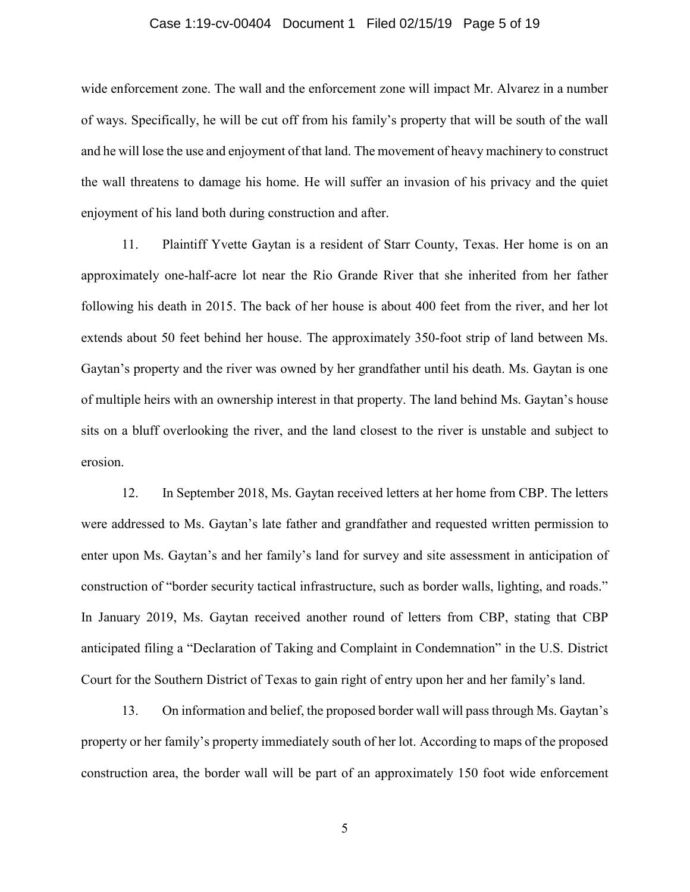#### Case 1:19-cv-00404 Document 1 Filed 02/15/19 Page 5 of 19

wide enforcement zone. The wall and the enforcement zone will impact Mr. Alvarez in a number of ways. Specifically, he will be cut off from his family's property that will be south of the wall and he will lose the use and enjoyment of that land. The movement of heavy machinery to construct the wall threatens to damage his home. He will suffer an invasion of his privacy and the quiet enjoyment of his land both during construction and after.

11. Plaintiff Yvette Gaytan is a resident of Starr County, Texas. Her home is on an approximately one-half-acre lot near the Rio Grande River that she inherited from her father following his death in 2015. The back of her house is about 400 feet from the river, and her lot extends about 50 feet behind her house. The approximately 350-foot strip of land between Ms. Gaytan's property and the river was owned by her grandfather until his death. Ms. Gaytan is one of multiple heirs with an ownership interest in that property. The land behind Ms. Gaytan's house sits on a bluff overlooking the river, and the land closest to the river is unstable and subject to erosion.

12. In September 2018, Ms. Gaytan received letters at her home from CBP. The letters were addressed to Ms. Gaytan's late father and grandfather and requested written permission to enter upon Ms. Gaytan's and her family's land for survey and site assessment in anticipation of construction of "border security tactical infrastructure, such as border walls, lighting, and roads." In January 2019, Ms. Gaytan received another round of letters from CBP, stating that CBP anticipated filing a "Declaration of Taking and Complaint in Condemnation" in the U.S. District Court for the Southern District of Texas to gain right of entry upon her and her family's land.

13. On information and belief, the proposed border wall will pass through Ms. Gaytan's property or her family's property immediately south of her lot. According to maps of the proposed construction area, the border wall will be part of an approximately 150 foot wide enforcement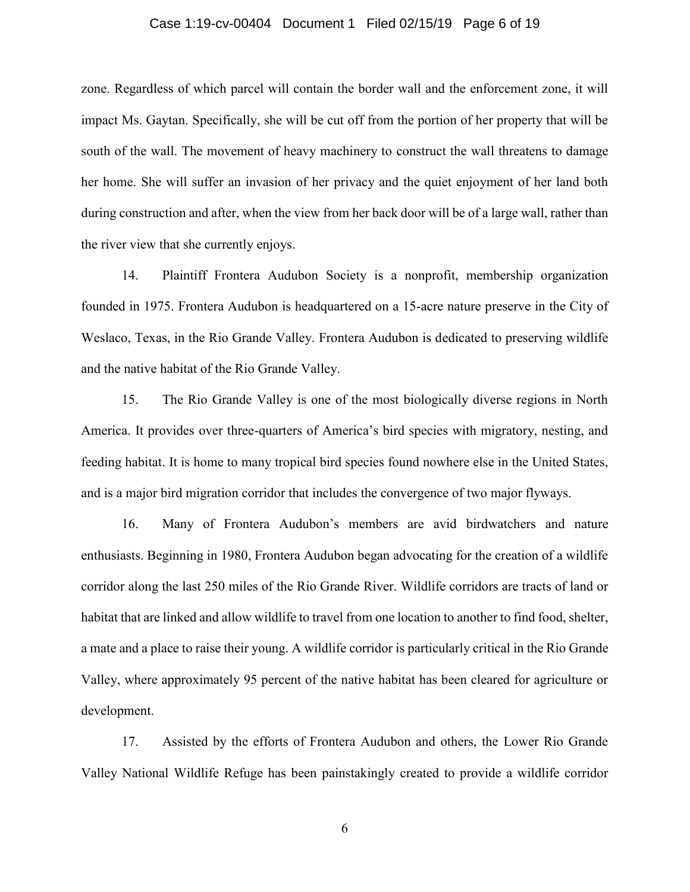#### Case 1:19-cv-00404 Document 1 Filed 02/15/19 Page 6 of 19

zone. Regardless of which parcel will contain the border wall and the enforcement zone, it will impact Ms. Gaytan. Specifically, she will be cut off from the portion of her property that will be south of the wall. The movement of heavy machinery to construct the wall threatens to damage her home. She will suffer an invasion of her privacy and the quiet enjoyment of her land both during construction and after, when the view from her back door will be of a large wall, rather than the river view that she currently enjoys.

14. Plaintiff Frontera Audubon Society is a nonprofit, membership organization founded in 1975. Frontera Audubon is headquartered on a 15-acre nature preserve in the City of Weslaco, Texas, in the Rio Grande Valley. Frontera Audubon is dedicated to preserving wildlife and the native habitat of the Rio Grande Valley.

15. The Rio Grande Valley is one of the most biologically diverse regions in North America. It provides over three-quarters of America's bird species with migratory, nesting, and feeding habitat. It is home to many tropical bird species found nowhere else in the United States, and is a major bird migration corridor that includes the convergence of two major flyways.

16. Many of Frontera Audubon's members are avid birdwatchers and nature enthusiasts. Beginning in 1980, Frontera Audubon began advocating for the creation of a wildlife corridor along the last 250 miles of the Rio Grande River. Wildlife corridors are tracts of land or habitat that are linked and allow wildlife to travel from one location to another to find food, shelter, a mate and a place to raise their young. A wildlife corridor is particularly critical in the Rio Grande Valley, where approximately 95 percent of the native habitat has been cleared for agriculture or development.

17. Assisted by the efforts of Frontera Audubon and others, the Lower Rio Grande Valley National Wildlife Refuge has been painstakingly created to provide a wildlife corridor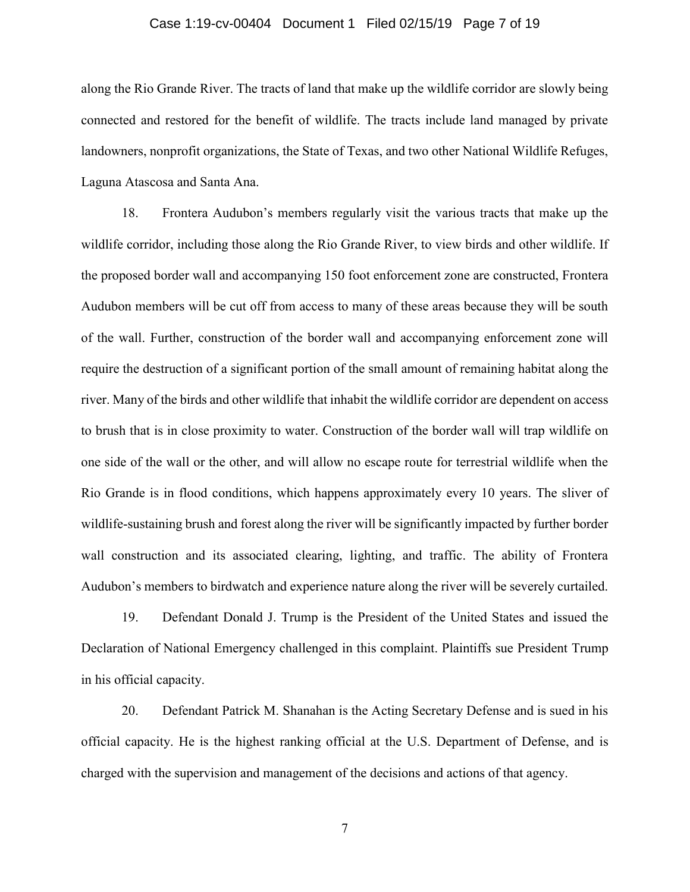#### Case 1:19-cv-00404 Document 1 Filed 02/15/19 Page 7 of 19

along the Rio Grande River. The tracts of land that make up the wildlife corridor are slowly being connected and restored for the benefit of wildlife. The tracts include land managed by private landowners, nonprofit organizations, the State of Texas, and two other National Wildlife Refuges, Laguna Atascosa and Santa Ana.

18. Frontera Audubon's members regularly visit the various tracts that make up the wildlife corridor, including those along the Rio Grande River, to view birds and other wildlife. If the proposed border wall and accompanying 150 foot enforcement zone are constructed, Frontera Audubon members will be cut off from access to many of these areas because they will be south of the wall. Further, construction of the border wall and accompanying enforcement zone will require the destruction of a significant portion of the small amount of remaining habitat along the river. Many of the birds and other wildlife that inhabit the wildlife corridor are dependent on access to brush that is in close proximity to water. Construction of the border wall will trap wildlife on one side of the wall or the other, and will allow no escape route for terrestrial wildlife when the Rio Grande is in flood conditions, which happens approximately every 10 years. The sliver of wildlife-sustaining brush and forest along the river will be significantly impacted by further border wall construction and its associated clearing, lighting, and traffic. The ability of Frontera Audubon's members to birdwatch and experience nature along the river will be severely curtailed.

19. Defendant Donald J. Trump is the President of the United States and issued the Declaration of National Emergency challenged in this complaint. Plaintiffs sue President Trump in his official capacity.

20. Defendant Patrick M. Shanahan is the Acting Secretary Defense and is sued in his official capacity. He is the highest ranking official at the U.S. Department of Defense, and is charged with the supervision and management of the decisions and actions of that agency.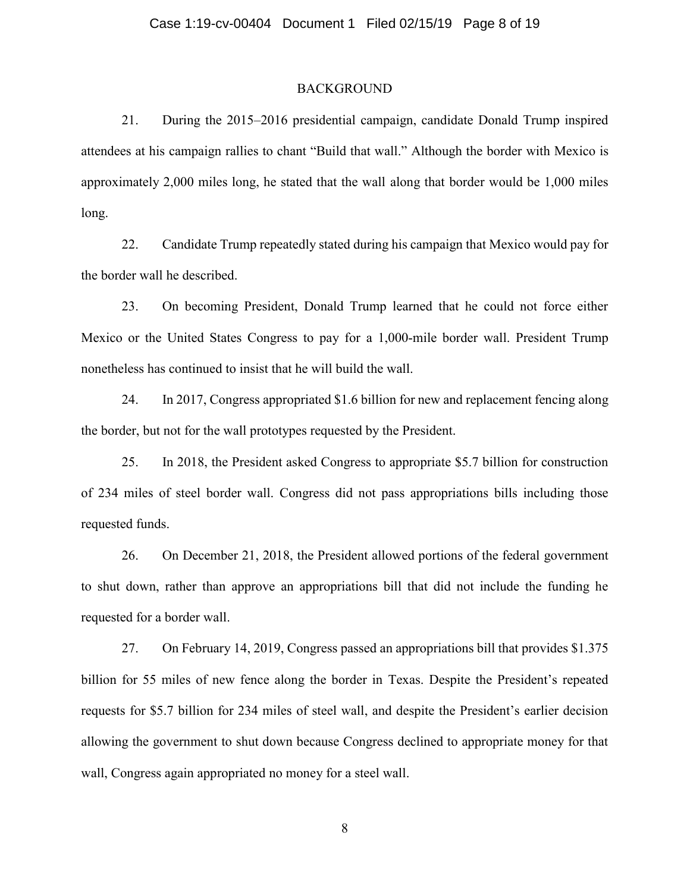#### BACKGROUND

21. During the 2015–2016 presidential campaign, candidate Donald Trump inspired attendees at his campaign rallies to chant "Build that wall." Although the border with Mexico is approximately 2,000 miles long, he stated that the wall along that border would be 1,000 miles long.

22. Candidate Trump repeatedly stated during his campaign that Mexico would pay for the border wall he described.

23. On becoming President, Donald Trump learned that he could not force either Mexico or the United States Congress to pay for a 1,000-mile border wall. President Trump nonetheless has continued to insist that he will build the wall.

24. In 2017, Congress appropriated \$1.6 billion for new and replacement fencing along the border, but not for the wall prototypes requested by the President.

25. In 2018, the President asked Congress to appropriate \$5.7 billion for construction of 234 miles of steel border wall. Congress did not pass appropriations bills including those requested funds.

26. On December 21, 2018, the President allowed portions of the federal government to shut down, rather than approve an appropriations bill that did not include the funding he requested for a border wall.

27. On February 14, 2019, Congress passed an appropriations bill that provides \$1.375 billion for 55 miles of new fence along the border in Texas. Despite the President's repeated requests for \$5.7 billion for 234 miles of steel wall, and despite the President's earlier decision allowing the government to shut down because Congress declined to appropriate money for that wall, Congress again appropriated no money for a steel wall.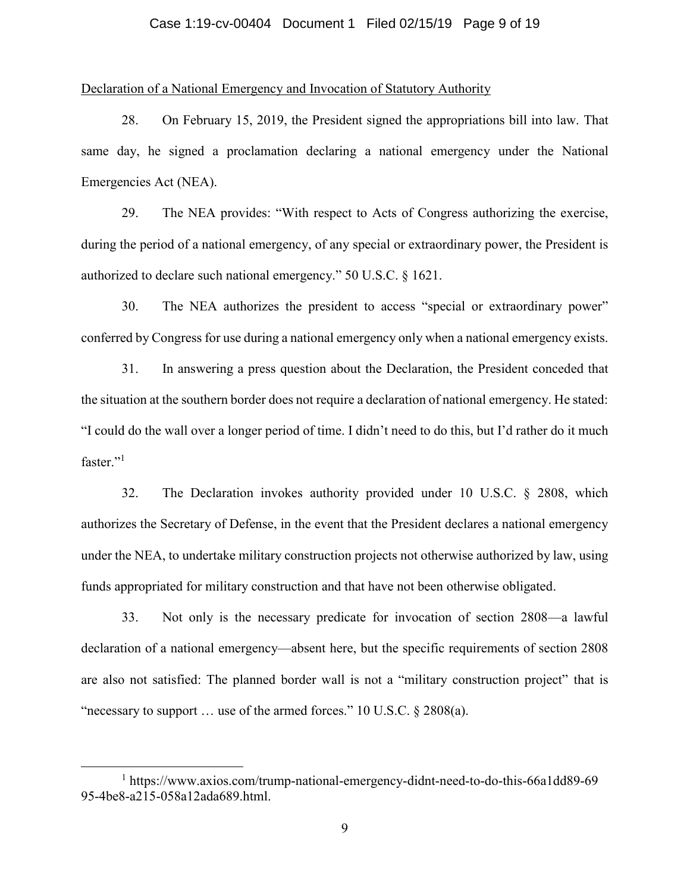#### Case 1:19-cv-00404 Document 1 Filed 02/15/19 Page 9 of 19

#### Declaration of a National Emergency and Invocation of Statutory Authority

28. On February 15, 2019, the President signed the appropriations bill into law. That same day, he signed a proclamation declaring a national emergency under the National Emergencies Act (NEA).

29. The NEA provides: "With respect to Acts of Congress authorizing the exercise, during the period of a national emergency, of any special or extraordinary power, the President is authorized to declare such national emergency." 50 U.S.C. § 1621.

30. The NEA authorizes the president to access "special or extraordinary power" conferred by Congress for use during a national emergency only when a national emergency exists.

31. In answering a press question about the Declaration, the President conceded that the situation at the southern border does not require a declaration of national emergency. He stated: "I could do the wall over a longer period of time. I didn't need to do this, but I'd rather do it much faster."<sup>1</sup>

32. The Declaration invokes authority provided under 10 U.S.C. § 2808, which authorizes the Secretary of Defense, in the event that the President declares a national emergency under the NEA, to undertake military construction projects not otherwise authorized by law, using funds appropriated for military construction and that have not been otherwise obligated.

33. Not only is the necessary predicate for invocation of section 2808—a lawful declaration of a national emergency—absent here, but the specific requirements of section 2808 are also not satisfied: The planned border wall is not a "military construction project" that is "necessary to support  $\ldots$  use of the armed forces." 10 U.S.C. § 2808(a).

<sup>1</sup> https://www.axios.com/trump-national-emergency-didnt-need-to-do-this-66a1dd89-69 95-4be8-a215-058a12ada689.html.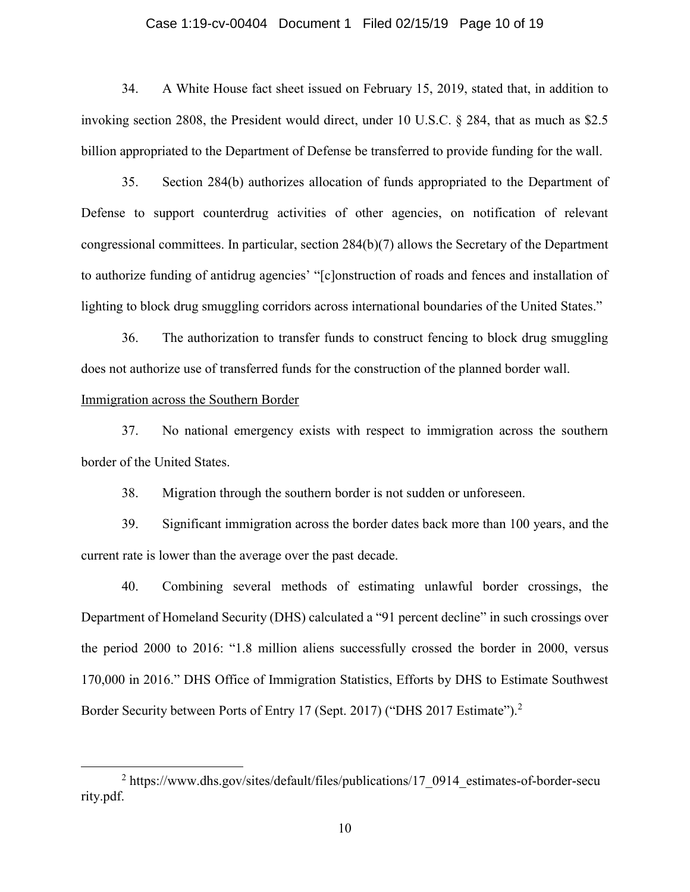#### Case 1:19-cv-00404 Document 1 Filed 02/15/19 Page 10 of 19

34. A White House fact sheet issued on February 15, 2019, stated that, in addition to invoking section 2808, the President would direct, under 10 U.S.C. § 284, that as much as \$2.5 billion appropriated to the Department of Defense be transferred to provide funding for the wall.

35. Section 284(b) authorizes allocation of funds appropriated to the Department of Defense to support counterdrug activities of other agencies, on notification of relevant congressional committees. In particular, section 284(b)(7) allows the Secretary of the Department to authorize funding of antidrug agencies' "[c]onstruction of roads and fences and installation of lighting to block drug smuggling corridors across international boundaries of the United States."

36. The authorization to transfer funds to construct fencing to block drug smuggling does not authorize use of transferred funds for the construction of the planned border wall.

# Immigration across the Southern Border

 $\overline{a}$ 

37. No national emergency exists with respect to immigration across the southern border of the United States.

38. Migration through the southern border is not sudden or unforeseen.

39. Significant immigration across the border dates back more than 100 years, and the current rate is lower than the average over the past decade.

40. Combining several methods of estimating unlawful border crossings, the Department of Homeland Security (DHS) calculated a "91 percent decline" in such crossings over the period 2000 to 2016: "1.8 million aliens successfully crossed the border in 2000, versus 170,000 in 2016." DHS Office of Immigration Statistics, Efforts by DHS to Estimate Southwest Border Security between Ports of Entry 17 (Sept. 2017) ("DHS 2017 Estimate").<sup>2</sup>

<sup>&</sup>lt;sup>2</sup> https://www.dhs.gov/sites/default/files/publications/17\_0914\_estimates-of-border-secu rity.pdf.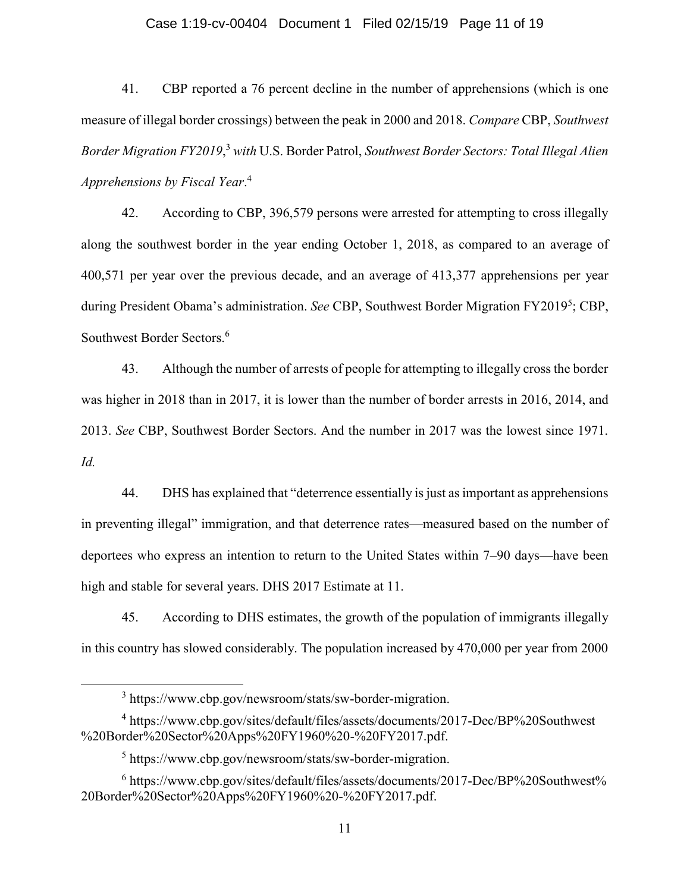#### Case 1:19-cv-00404 Document 1 Filed 02/15/19 Page 11 of 19

41. CBP reported a 76 percent decline in the number of apprehensions (which is one measure of illegal border crossings) between the peak in 2000 and 2018. *Compare* CBP, *Southwest Border Migration FY2019*, <sup>3</sup> *with* U.S. Border Patrol, *Southwest Border Sectors: Total Illegal Alien Apprehensions by Fiscal Year*. 4

42. According to CBP, 396,579 persons were arrested for attempting to cross illegally along the southwest border in the year ending October 1, 2018, as compared to an average of 400,571 per year over the previous decade, and an average of 413,377 apprehensions per year during President Obama's administration. See CBP, Southwest Border Migration FY2019<sup>5</sup>; CBP, Southwest Border Sectors.<sup>6</sup>

43. Although the number of arrests of people for attempting to illegally cross the border was higher in 2018 than in 2017, it is lower than the number of border arrests in 2016, 2014, and 2013. *See* CBP, Southwest Border Sectors. And the number in 2017 was the lowest since 1971. *Id.* 

44. DHS has explained that "deterrence essentially is just as important as apprehensions in preventing illegal" immigration, and that deterrence rates—measured based on the number of deportees who express an intention to return to the United States within 7–90 days—have been high and stable for several years. DHS 2017 Estimate at 11.

45. According to DHS estimates, the growth of the population of immigrants illegally in this country has slowed considerably. The population increased by 470,000 per year from 2000

<sup>3</sup> https://www.cbp.gov/newsroom/stats/sw-border-migration.

<sup>4</sup> https://www.cbp.gov/sites/default/files/assets/documents/2017-Dec/BP%20Southwest %20Border%20Sector%20Apps%20FY1960%20-%20FY2017.pdf.

<sup>5</sup> https://www.cbp.gov/newsroom/stats/sw-border-migration.

<sup>&</sup>lt;sup>6</sup> https://www.cbp.gov/sites/default/files/assets/documents/2017-Dec/BP%20Southwest% 20Border%20Sector%20Apps%20FY1960%20-%20FY2017.pdf.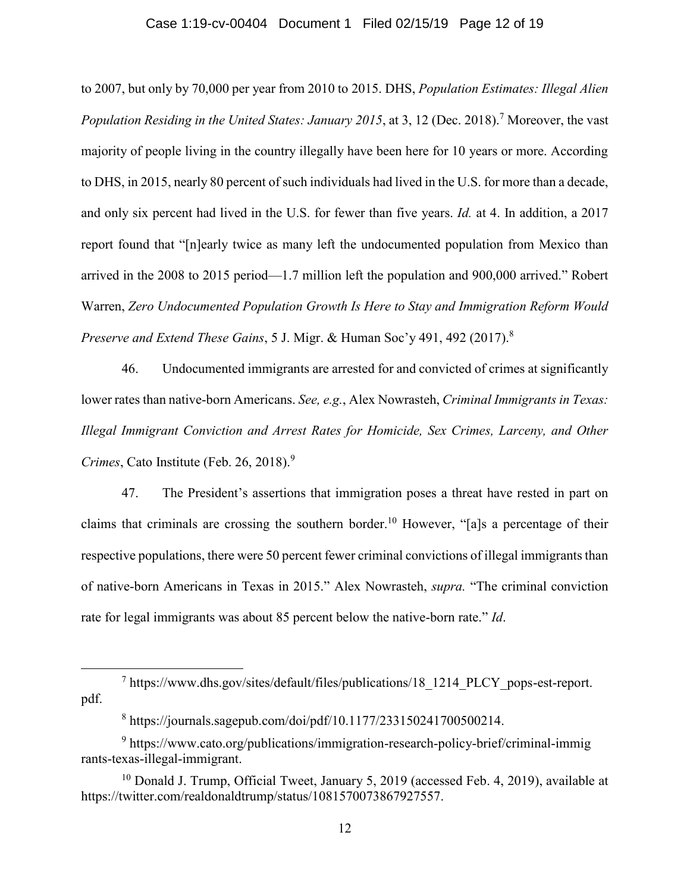#### Case 1:19-cv-00404 Document 1 Filed 02/15/19 Page 12 of 19

to 2007, but only by 70,000 per year from 2010 to 2015. DHS, *Population Estimates: Illegal Alien Population Residing in the United States: January 2015*, at 3, 12 (Dec. 2018).<sup>7</sup> Moreover, the vast majority of people living in the country illegally have been here for 10 years or more. According to DHS, in 2015, nearly 80 percent of such individuals had lived in the U.S. for more than a decade, and only six percent had lived in the U.S. for fewer than five years. *Id.* at 4. In addition, a 2017 report found that "[n]early twice as many left the undocumented population from Mexico than arrived in the 2008 to 2015 period—1.7 million left the population and 900,000 arrived." Robert Warren, *Zero Undocumented Population Growth Is Here to Stay and Immigration Reform Would Preserve and Extend These Gains*, 5 J. Migr. & Human Soc'y 491, 492 (2017). 8

46. Undocumented immigrants are arrested for and convicted of crimes at significantly lower rates than native-born Americans. *See, e.g.*, Alex Nowrasteh, *Criminal Immigrants in Texas: Illegal Immigrant Conviction and Arrest Rates for Homicide, Sex Crimes, Larceny, and Other Crimes*, Cato Institute (Feb. 26, 2018). 9

47. The President's assertions that immigration poses a threat have rested in part on claims that criminals are crossing the southern border.<sup>10</sup> However, "[a]s a percentage of their respective populations, there were 50 percent fewer criminal convictions of illegal immigrants than of native-born Americans in Texas in 2015." Alex Nowrasteh, *supra.* "The criminal conviction rate for legal immigrants was about 85 percent below the native-born rate." *Id*.

<sup>7</sup> https://www.dhs.gov/sites/default/files/publications/18\_1214\_PLCY\_pops-est-report. pdf.

<sup>8</sup> https://journals.sagepub.com/doi/pdf/10.1177/233150241700500214.

<sup>&</sup>lt;sup>9</sup> [https://www.cato.org/publications/immigration-research-policy-brief/criminal-immig](https://www.cato.org/publications/immigration-research-policy-brief/criminal-immigârants-texas-illegal-immigrant) [rants-texas-illegal-immigrant.](https://www.cato.org/publications/immigration-research-policy-brief/criminal-immigârants-texas-illegal-immigrant)

<sup>&</sup>lt;sup>10</sup> Donald J. Trump, Official Tweet, January 5, 2019 (accessed Feb. 4, 2019), available at [https://twitter.com/realdonaldtrump/status/1081570073867927557.](https://twitter.com/realdonaldtrump/status/1081570073867927557?lang=en)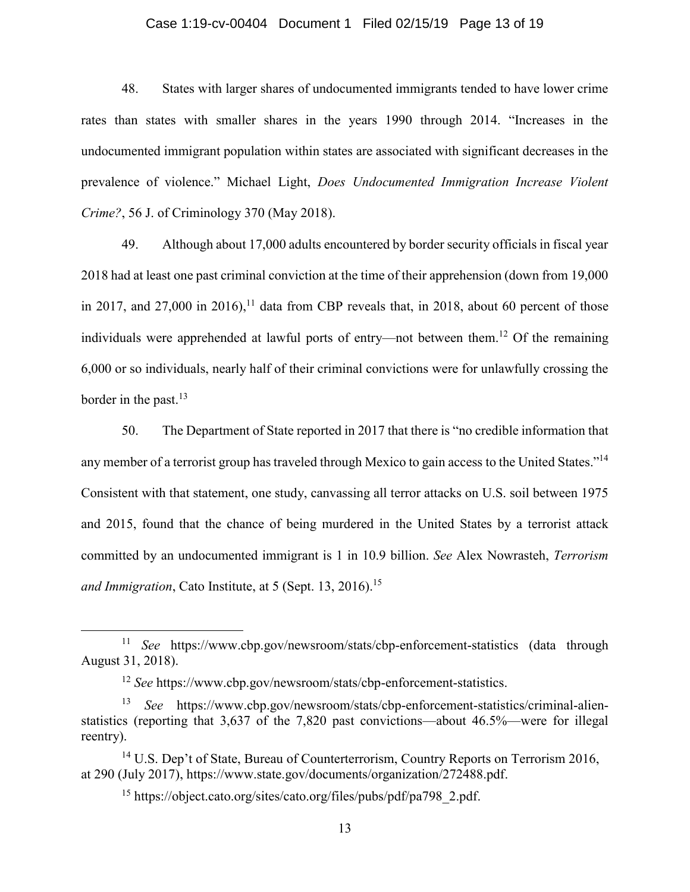#### Case 1:19-cv-00404 Document 1 Filed 02/15/19 Page 13 of 19

48. States with larger shares of undocumented immigrants tended to have lower crime rates than states with smaller shares in the years 1990 through 2014. "Increases in the undocumented immigrant population within states are associated with significant decreases in the prevalence of violence." Michael Light, *Does Undocumented Immigration Increase Violent Crime?*, 56 J. of Criminology 370 (May 2018).

49. Although about 17,000 adults encountered by border security officials in fiscal year 2018 had at least one past criminal conviction at the time of their apprehension (down from 19,000 in 2017, and 27,000 in 2016),<sup>11</sup> data from CBP reveals that, in 2018, about 60 percent of those individuals were apprehended at lawful ports of entry—not between them. <sup>12</sup> Of the remaining 6,000 or so individuals, nearly half of their criminal convictions were for unlawfully crossing the border in the past. 13

50. The Department of State reported in 2017 that there is "no credible information that any member of a terrorist group has traveled through Mexico to gain access to the United States."<sup>14</sup> Consistent with that statement, one study, canvassing all terror attacks on U.S. soil between 1975 and 2015, found that the chance of being murdered in the United States by a terrorist attack committed by an undocumented immigrant is 1 in 10.9 billion. *See* Alex Nowrasteh, *Terrorism and Immigration*, Cato Institute, at 5 (Sept. 13, 2016). 15

<sup>11</sup> *See* <https://www.cbp.gov/newsroom/stats/cbp-enforcement-statistics> (data through August 31, 2018).

<sup>12</sup> *See* [https://www.cbp.gov/newsroom/stats/cbp-enforcement-statistics.](https://www.cbp.gov/newsroom/stats/cbp-enforcement-statistics)

<sup>13</sup> *See* [https://www.cbp.gov/newsroom/stats/cbp-enforcement-statistics/criminal-alien](https://www.cbp.gov/newsroom/stats/cbp-enforcement-statistics/criminal-alien-statistics)[statistics](https://www.cbp.gov/newsroom/stats/cbp-enforcement-statistics/criminal-alien-statistics) (reporting that 3,637 of the 7,820 past convictions—about 46.5%—were for illegal reentry).

<sup>&</sup>lt;sup>14</sup> U.S. Dep't of State, Bureau of Counterterrorism, Country Reports on Terrorism 2016, at 290 (July 2017), [https://www.state.gov/documents/organization/272488.pdf.](https://www.state.gov/documents/organization/272488.pdf)

<sup>&</sup>lt;sup>15</sup> https://object.cato.org/sites/cato.org/files/pubs/pdf/pa798 2.pdf.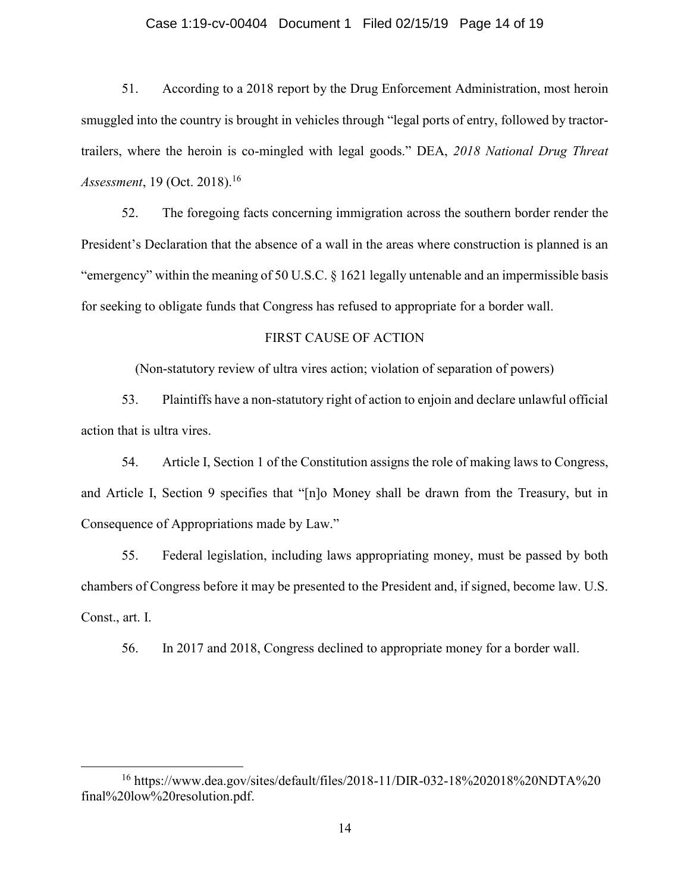#### Case 1:19-cv-00404 Document 1 Filed 02/15/19 Page 14 of 19

51. According to a 2018 report by the Drug Enforcement Administration, most heroin smuggled into the country is brought in vehicles through "legal ports of entry, followed by tractortrailers, where the heroin is co-mingled with legal goods." DEA, *2018 National Drug Threat Assessment*, 19 (Oct. 2018).<sup>16</sup>

52. The foregoing facts concerning immigration across the southern border render the President's Declaration that the absence of a wall in the areas where construction is planned is an "emergency" within the meaning of 50 U.S.C. § 1621 legally untenable and an impermissible basis for seeking to obligate funds that Congress has refused to appropriate for a border wall.

# FIRST CAUSE OF ACTION

(Non-statutory review of ultra vires action; violation of separation of powers)

53. Plaintiffs have a non-statutory right of action to enjoin and declare unlawful official action that is ultra vires.

54. Article I, Section 1 of the Constitution assigns the role of making laws to Congress, and Article I, Section 9 specifies that "[n]o Money shall be drawn from the Treasury, but in Consequence of Appropriations made by Law."

55. Federal legislation, including laws appropriating money, must be passed by both chambers of Congress before it may be presented to the President and, if signed, become law. U.S. Const., art. I.

56. In 2017 and 2018, Congress declined to appropriate money for a border wall.

<sup>16</sup> https://www.dea.gov/sites/default/files/2018-11/DIR-032-18%202018%20NDTA%20 final%20low%20resolution.pdf.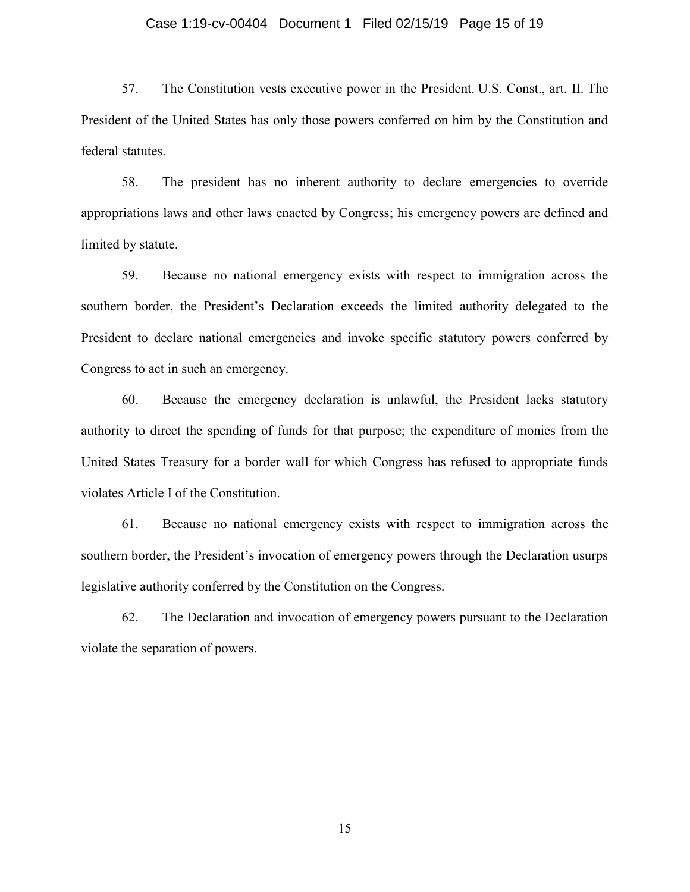#### Case 1:19-cv-00404 Document 1 Filed 02/15/19 Page 15 of 19

57. The Constitution vests executive power in the President. U.S. Const., art. II. The President of the United States has only those powers conferred on him by the Constitution and federal statutes.

58. The president has no inherent authority to declare emergencies to override appropriations laws and other laws enacted by Congress; his emergency powers are defined and limited by statute.

59. Because no national emergency exists with respect to immigration across the southern border, the President's Declaration exceeds the limited authority delegated to the President to declare national emergencies and invoke specific statutory powers conferred by Congress to act in such an emergency.

60. Because the emergency declaration is unlawful, the President lacks statutory authority to direct the spending of funds for that purpose; the expenditure of monies from the United States Treasury for a border wall for which Congress has refused to appropriate funds violates Article I of the Constitution.

61. Because no national emergency exists with respect to immigration across the southern border, the President's invocation of emergency powers through the Declaration usurps legislative authority conferred by the Constitution on the Congress.

62. The Declaration and invocation of emergency powers pursuant to the Declaration violate the separation of powers.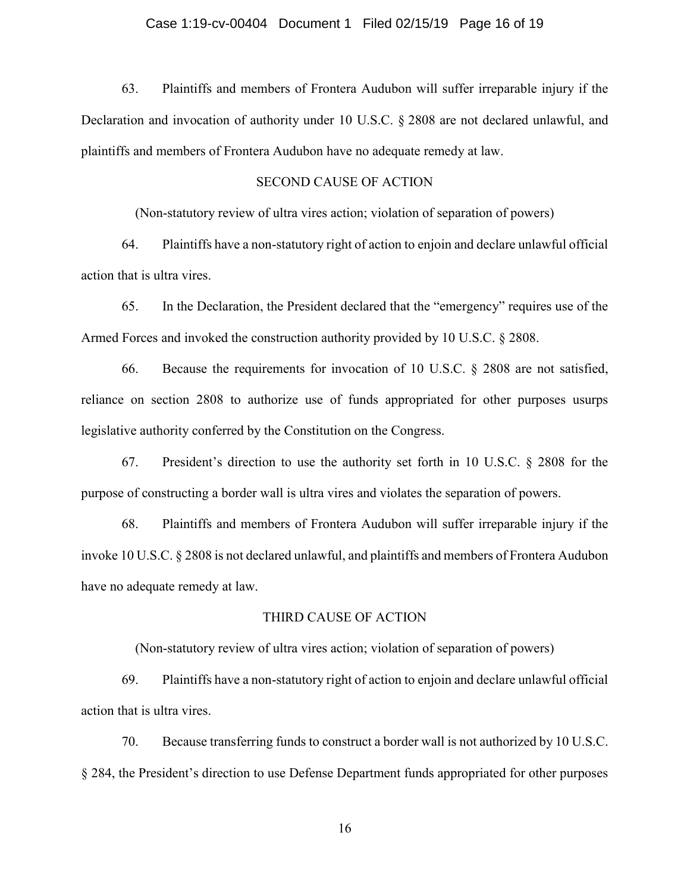#### Case 1:19-cv-00404 Document 1 Filed 02/15/19 Page 16 of 19

63. Plaintiffs and members of Frontera Audubon will suffer irreparable injury if the Declaration and invocation of authority under 10 U.S.C. § 2808 are not declared unlawful, and plaintiffs and members of Frontera Audubon have no adequate remedy at law.

# SECOND CAUSE OF ACTION

(Non-statutory review of ultra vires action; violation of separation of powers)

64. Plaintiffs have a non-statutory right of action to enjoin and declare unlawful official action that is ultra vires.

65. In the Declaration, the President declared that the "emergency" requires use of the Armed Forces and invoked the construction authority provided by 10 U.S.C. § 2808.

66. Because the requirements for invocation of 10 U.S.C. § 2808 are not satisfied, reliance on section 2808 to authorize use of funds appropriated for other purposes usurps legislative authority conferred by the Constitution on the Congress.

67. President's direction to use the authority set forth in 10 U.S.C. § 2808 for the purpose of constructing a border wall is ultra vires and violates the separation of powers.

68. Plaintiffs and members of Frontera Audubon will suffer irreparable injury if the invoke 10 U.S.C. § 2808 is not declared unlawful, and plaintiffs and members of Frontera Audubon have no adequate remedy at law.

#### THIRD CAUSE OF ACTION

(Non-statutory review of ultra vires action; violation of separation of powers)

69. Plaintiffs have a non-statutory right of action to enjoin and declare unlawful official action that is ultra vires.

70. Because transferring funds to construct a border wall is not authorized by 10 U.S.C. § 284, the President's direction to use Defense Department funds appropriated for other purposes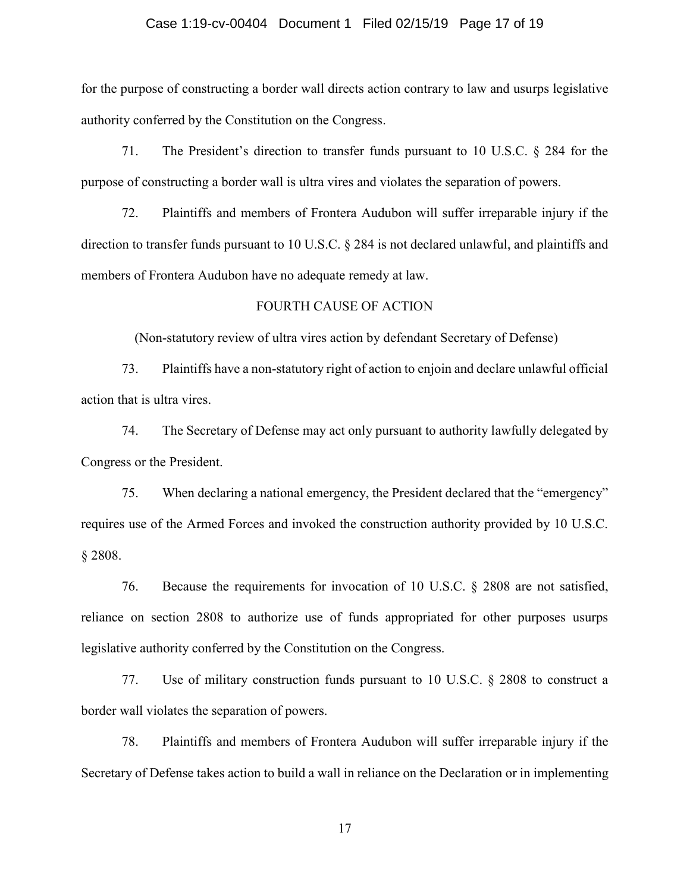#### Case 1:19-cv-00404 Document 1 Filed 02/15/19 Page 17 of 19

for the purpose of constructing a border wall directs action contrary to law and usurps legislative authority conferred by the Constitution on the Congress.

71. The President's direction to transfer funds pursuant to 10 U.S.C. § 284 for the purpose of constructing a border wall is ultra vires and violates the separation of powers.

72. Plaintiffs and members of Frontera Audubon will suffer irreparable injury if the direction to transfer funds pursuant to 10 U.S.C. § 284 is not declared unlawful, and plaintiffs and members of Frontera Audubon have no adequate remedy at law.

# FOURTH CAUSE OF ACTION

(Non-statutory review of ultra vires action by defendant Secretary of Defense)

73. Plaintiffs have a non-statutory right of action to enjoin and declare unlawful official action that is ultra vires.

74. The Secretary of Defense may act only pursuant to authority lawfully delegated by Congress or the President.

75. When declaring a national emergency, the President declared that the "emergency" requires use of the Armed Forces and invoked the construction authority provided by 10 U.S.C. § 2808.

76. Because the requirements for invocation of 10 U.S.C. § 2808 are not satisfied, reliance on section 2808 to authorize use of funds appropriated for other purposes usurps legislative authority conferred by the Constitution on the Congress.

77. Use of military construction funds pursuant to 10 U.S.C. § 2808 to construct a border wall violates the separation of powers.

78. Plaintiffs and members of Frontera Audubon will suffer irreparable injury if the Secretary of Defense takes action to build a wall in reliance on the Declaration or in implementing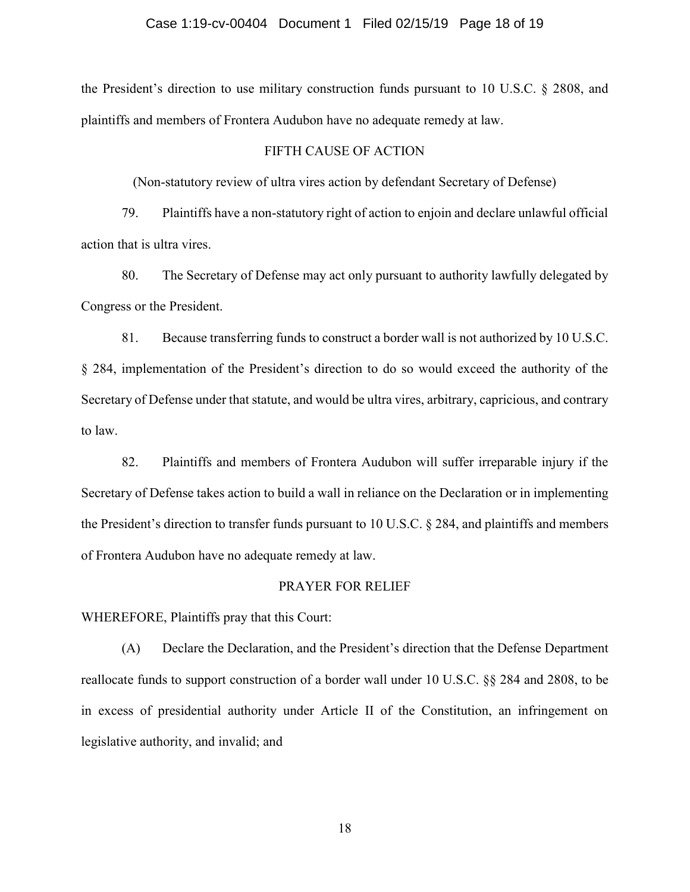the President's direction to use military construction funds pursuant to 10 U.S.C. § 2808, and plaintiffs and members of Frontera Audubon have no adequate remedy at law.

# FIFTH CAUSE OF ACTION

(Non-statutory review of ultra vires action by defendant Secretary of Defense)

79. Plaintiffs have a non-statutory right of action to enjoin and declare unlawful official action that is ultra vires.

80. The Secretary of Defense may act only pursuant to authority lawfully delegated by Congress or the President.

81. Because transferring funds to construct a border wall is not authorized by 10 U.S.C. § 284, implementation of the President's direction to do so would exceed the authority of the Secretary of Defense under that statute, and would be ultra vires, arbitrary, capricious, and contrary to law.

82. Plaintiffs and members of Frontera Audubon will suffer irreparable injury if the Secretary of Defense takes action to build a wall in reliance on the Declaration or in implementing the President's direction to transfer funds pursuant to 10 U.S.C. § 284, and plaintiffs and members of Frontera Audubon have no adequate remedy at law.

#### PRAYER FOR RELIEF

WHEREFORE, Plaintiffs pray that this Court:

(A) Declare the Declaration, and the President's direction that the Defense Department reallocate funds to support construction of a border wall under 10 U.S.C. §§ 284 and 2808, to be in excess of presidential authority under Article II of the Constitution, an infringement on legislative authority, and invalid; and